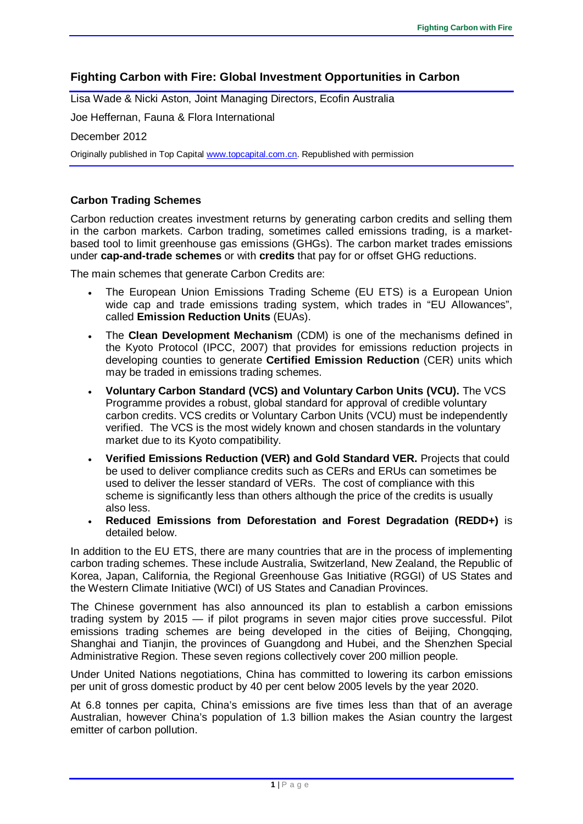# **Fighting Carbon with Fire: Global Investment Opportunities in Carbon**

Lisa Wade & Nicki Aston, Joint Managing Directors, Ecofin Australia

Joe Heffernan, Fauna & Flora International

December 2012

Originally published in Top Capital [www.topcapital.com.cn.](http://www.topcapital.com.cn/) Republished with permission

## **Carbon Trading Schemes**

Carbon reduction creates investment returns by generating carbon credits and selling them in the carbon markets. Carbon trading, sometimes called emissions trading, is a marketbased tool to limit greenhouse gas emissions (GHGs). The carbon market trades emissions under **cap-and-trade schemes** or with **credits** that pay for or offset GHG reductions.

The main schemes that generate Carbon Credits are:

- The European Union Emissions Trading Scheme (EU ETS) is a European Union wide cap and trade emissions trading system, which trades in "EU Allowances", called **Emission Reduction Units** (EUAs).
- The **Clean Development Mechanism** (CDM) is one of the mechanisms defined in the Kyoto Protocol (IPCC, 2007) that provides for emissions reduction projects in developing counties to generate **Certified Emission Reduction** (CER) units which may be traded in emissions trading schemes.
- **Voluntary Carbon Standard (VCS) and Voluntary Carbon Units (VCU).** The VCS Programme provides a robust, global standard for approval of credible voluntary carbon credits. VCS credits or Voluntary Carbon Units (VCU) must be independently verified. The VCS is the most widely known and chosen standards in the voluntary market due to its Kyoto compatibility.
- **Verified Emissions Reduction (VER) and Gold Standard VER.** Projects that could be used to deliver compliance credits such as CERs and ERUs can sometimes be used to deliver the lesser standard of VERs. The cost of compliance with this scheme is significantly less than others although the price of the credits is usually also less.
- **Reduced Emissions from Deforestation and Forest Degradation (REDD+)** is detailed below.

In addition to the EU ETS, there are many countries that are in the process of implementing carbon trading schemes. These include Australia, Switzerland, New Zealand, the Republic of Korea, Japan, California, the Regional Greenhouse Gas Initiative (RGGI) of US States and the Western Climate Initiative (WCI) of US States and Canadian Provinces.

The Chinese government has also announced its plan to establish a carbon emissions trading system by 2015 — if pilot programs in seven major cities prove successful. Pilot emissions trading schemes are being developed in the cities of Beijing, Chongqing, Shanghai and Tianjin, the provinces of Guangdong and Hubei, and the Shenzhen Special Administrative Region. These seven regions collectively cover 200 million people.

Under United Nations negotiations, China has committed to lowering its carbon emissions per unit of gross domestic product by 40 per cent below 2005 levels by the year 2020.

At 6.8 tonnes per capita, China's emissions are five times less than that of an average Australian, however China's population of 1.3 billion makes the Asian country the largest emitter of carbon pollution.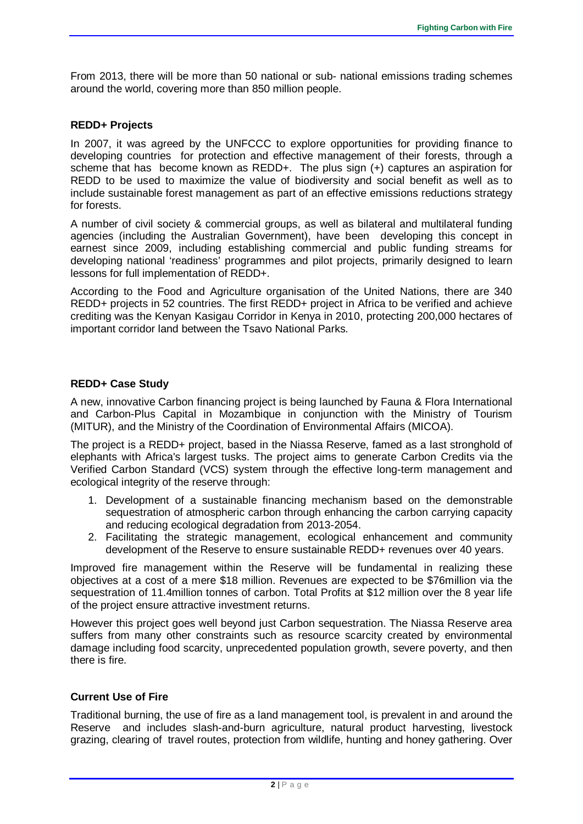From 2013, there will be more than 50 national or sub- national emissions trading schemes around the world, covering more than 850 million people.

#### **REDD+ Projects**

In 2007, it was agreed by the UNFCCC to explore opportunities for providing finance to developing countries for protection and effective management of their forests, through a scheme that has become known as REDD+. The plus sign (+) captures an aspiration for REDD to be used to maximize the value of biodiversity and social benefit as well as to include sustainable forest management as part of an effective emissions reductions strategy for forests.

A number of civil society & commercial groups, as well as bilateral and multilateral funding agencies (including the Australian Government), have been developing this concept in earnest since 2009, including establishing commercial and public funding streams for developing national 'readiness' programmes and pilot projects, primarily designed to learn lessons for full implementation of REDD+.

According to the Food and Agriculture organisation of the United Nations, there are 340 REDD+ projects in 52 countries. The first REDD+ project in Africa to be verified and achieve crediting was the Kenyan Kasigau Corridor in Kenya in 2010, protecting 200,000 hectares of important corridor land between the Tsavo National Parks.

## **REDD+ Case Study**

A new, innovative Carbon financing project is being launched by Fauna & Flora International and Carbon-Plus Capital in Mozambique in conjunction with the Ministry of Tourism (MITUR), and the Ministry of the Coordination of Environmental Affairs (MICOA).

The project is a REDD+ project, based in the Niassa Reserve, famed as a last stronghold of elephants with Africa's largest tusks. The project aims to generate Carbon Credits via the Verified Carbon Standard (VCS) system through the effective long-term management and ecological integrity of the reserve through:

- 1. Development of a sustainable financing mechanism based on the demonstrable sequestration of atmospheric carbon through enhancing the carbon carrying capacity and reducing ecological degradation from 2013-2054.
- 2. Facilitating the strategic management, ecological enhancement and community development of the Reserve to ensure sustainable REDD+ revenues over 40 years.

Improved fire management within the Reserve will be fundamental in realizing these objectives at a cost of a mere \$18 million. Revenues are expected to be \$76million via the sequestration of 11.4million tonnes of carbon. Total Profits at \$12 million over the 8 year life of the project ensure attractive investment returns.

However this project goes well beyond just Carbon sequestration. The Niassa Reserve area suffers from many other constraints such as resource scarcity created by environmental damage including food scarcity, unprecedented population growth, severe poverty, and then there is fire.

## **Current Use of Fire**

Traditional burning, the use of fire as a land management tool, is prevalent in and around the Reserve and includes slash-and-burn agriculture, natural product harvesting, livestock grazing, clearing of travel routes, protection from wildlife, hunting and honey gathering. Over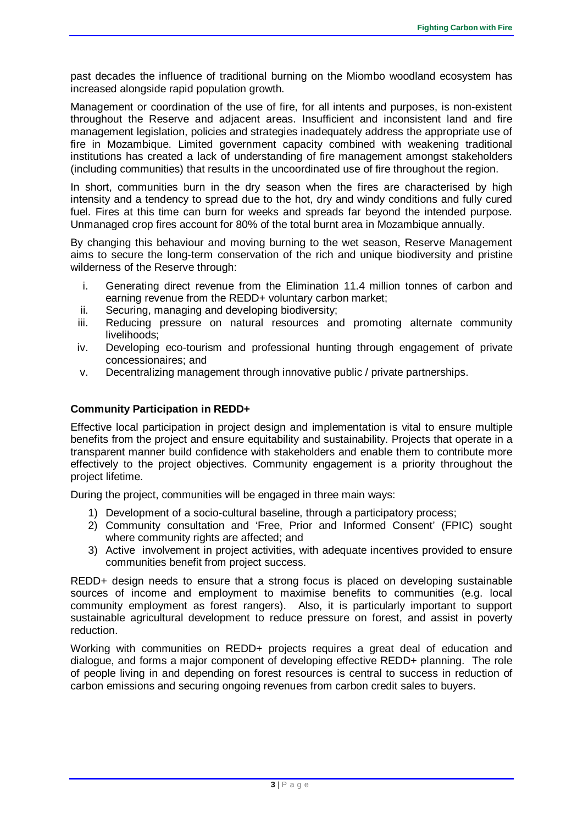past decades the influence of traditional burning on the Miombo woodland ecosystem has increased alongside rapid population growth.

Management or coordination of the use of fire, for all intents and purposes, is non-existent throughout the Reserve and adjacent areas. Insufficient and inconsistent land and fire management legislation, policies and strategies inadequately address the appropriate use of fire in Mozambique. Limited government capacity combined with weakening traditional institutions has created a lack of understanding of fire management amongst stakeholders (including communities) that results in the uncoordinated use of fire throughout the region.

In short, communities burn in the dry season when the fires are characterised by high intensity and a tendency to spread due to the hot, dry and windy conditions and fully cured fuel. Fires at this time can burn for weeks and spreads far beyond the intended purpose. Unmanaged crop fires account for 80% of the total burnt area in Mozambique annually.

By changing this behaviour and moving burning to the wet season, Reserve Management aims to secure the long-term conservation of the rich and unique biodiversity and pristine wilderness of the Reserve through:

- i. Generating direct revenue from the Elimination 11.4 million tonnes of carbon and earning revenue from the REDD+ voluntary carbon market;
- ii. Securing, managing and developing biodiversity;
- iii. Reducing pressure on natural resources and promoting alternate community livelihoods;
- iv. Developing eco-tourism and professional hunting through engagement of private concessionaires; and
- v. Decentralizing management through innovative public / private partnerships.

#### **Community Participation in REDD+**

Effective local participation in project design and implementation is vital to ensure multiple benefits from the project and ensure equitability and sustainability. Projects that operate in a transparent manner build confidence with stakeholders and enable them to contribute more effectively to the project objectives. Community engagement is a priority throughout the project lifetime.

During the project, communities will be engaged in three main ways:

- 1) Development of a socio-cultural baseline, through a participatory process;
- 2) Community consultation and 'Free, Prior and Informed Consent' (FPIC) sought where community rights are affected; and
- 3) Active involvement in project activities, with adequate incentives provided to ensure communities benefit from project success.

REDD+ design needs to ensure that a strong focus is placed on developing sustainable sources of income and employment to maximise benefits to communities (e.g. local community employment as forest rangers). Also, it is particularly important to support sustainable agricultural development to reduce pressure on forest, and assist in poverty reduction.

Working with communities on REDD+ projects requires a great deal of education and dialogue, and forms a major component of developing effective REDD+ planning. The role of people living in and depending on forest resources is central to success in reduction of carbon emissions and securing ongoing revenues from carbon credit sales to buyers.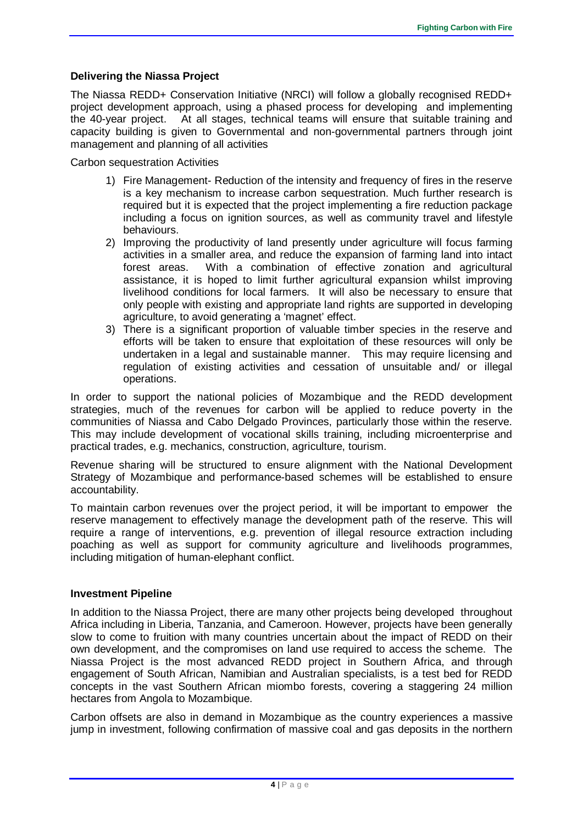## **Delivering the Niassa Project**

The Niassa REDD+ Conservation Initiative (NRCI) will follow a globally recognised REDD+ project development approach, using a phased process for developing and implementing the 40-year project. At all stages, technical teams will ensure that suitable training and capacity building is given to Governmental and non-governmental partners through joint management and planning of all activities

Carbon sequestration Activities

- 1) Fire Management- Reduction of the intensity and frequency of fires in the reserve is a key mechanism to increase carbon sequestration. Much further research is required but it is expected that the project implementing a fire reduction package including a focus on ignition sources, as well as community travel and lifestyle behaviours.
- 2) Improving the productivity of land presently under agriculture will focus farming activities in a smaller area, and reduce the expansion of farming land into intact forest areas. With a combination of effective zonation and agricultural assistance, it is hoped to limit further agricultural expansion whilst improving livelihood conditions for local farmers. It will also be necessary to ensure that only people with existing and appropriate land rights are supported in developing agriculture, to avoid generating a 'magnet' effect.
- 3) There is a significant proportion of valuable timber species in the reserve and efforts will be taken to ensure that exploitation of these resources will only be undertaken in a legal and sustainable manner. This may require licensing and regulation of existing activities and cessation of unsuitable and/ or illegal operations.

In order to support the national policies of Mozambique and the REDD development strategies, much of the revenues for carbon will be applied to reduce poverty in the communities of Niassa and Cabo Delgado Provinces, particularly those within the reserve. This may include development of vocational skills training, including microenterprise and practical trades, e.g. mechanics, construction, agriculture, tourism.

Revenue sharing will be structured to ensure alignment with the National Development Strategy of Mozambique and performance-based schemes will be established to ensure accountability.

To maintain carbon revenues over the project period, it will be important to empower the reserve management to effectively manage the development path of the reserve. This will require a range of interventions, e.g. prevention of illegal resource extraction including poaching as well as support for community agriculture and livelihoods programmes, including mitigation of human-elephant conflict.

## **Investment Pipeline**

In addition to the Niassa Project, there are many other projects being developed throughout Africa including in Liberia, Tanzania, and Cameroon. However, projects have been generally slow to come to fruition with many countries uncertain about the impact of REDD on their own development, and the compromises on land use required to access the scheme. The Niassa Project is the most advanced REDD project in Southern Africa, and through engagement of South African, Namibian and Australian specialists, is a test bed for REDD concepts in the vast Southern African miombo forests, covering a staggering 24 million hectares from Angola to Mozambique.

Carbon offsets are also in demand in Mozambique as the country experiences a massive jump in investment, following confirmation of massive coal and gas deposits in the northern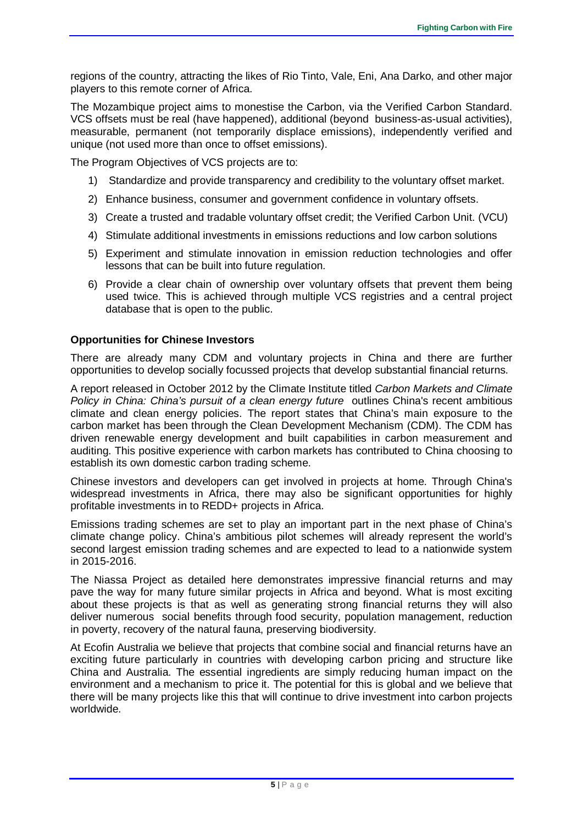regions of the country, attracting the likes of Rio Tinto, Vale, Eni, Ana Darko, and other major players to this remote corner of Africa.

The Mozambique project aims to monestise the Carbon, via the Verified Carbon Standard. VCS offsets must be real (have happened), additional (beyond business-as-usual activities), measurable, permanent (not temporarily displace emissions), independently verified and unique (not used more than once to offset emissions).

The Program Objectives of VCS projects are to:

- 1) Standardize and provide transparency and credibility to the voluntary offset market.
- 2) Enhance business, consumer and government confidence in voluntary offsets.
- 3) Create a trusted and tradable voluntary offset credit; the Verified Carbon Unit. (VCU)
- 4) Stimulate additional investments in emissions reductions and low carbon solutions
- 5) Experiment and stimulate innovation in emission reduction technologies and offer lessons that can be built into future regulation.
- 6) Provide a clear chain of ownership over voluntary offsets that prevent them being used twice. This is achieved through multiple VCS registries and a central project database that is open to the public.

#### **Opportunities for Chinese Investors**

There are already many CDM and voluntary projects in China and there are further opportunities to develop socially focussed projects that develop substantial financial returns.

A report released in October 2012 by the Climate Institute titled *Carbon Markets and Climate Policy in China: China's pursuit of a clean energy future outlines China's recent ambitious* climate and clean energy policies. The report states that China's main exposure to the carbon market has been through the Clean Development Mechanism (CDM). The CDM has driven renewable energy development and built capabilities in carbon measurement and auditing. This positive experience with carbon markets has contributed to China choosing to establish its own domestic carbon trading scheme.

Chinese investors and developers can get involved in projects at home. Through China's widespread investments in Africa, there may also be significant opportunities for highly profitable investments in to REDD+ projects in Africa.

Emissions trading schemes are set to play an important part in the next phase of China's climate change policy. China's ambitious pilot schemes will already represent the world's second largest emission trading schemes and are expected to lead to a nationwide system in 2015-2016.

The Niassa Project as detailed here demonstrates impressive financial returns and may pave the way for many future similar projects in Africa and beyond. What is most exciting about these projects is that as well as generating strong financial returns they will also deliver numerous social benefits through food security, population management, reduction in poverty, recovery of the natural fauna, preserving biodiversity.

At Ecofin Australia we believe that projects that combine social and financial returns have an exciting future particularly in countries with developing carbon pricing and structure like China and Australia. The essential ingredients are simply reducing human impact on the environment and a mechanism to price it. The potential for this is global and we believe that there will be many projects like this that will continue to drive investment into carbon projects worldwide.